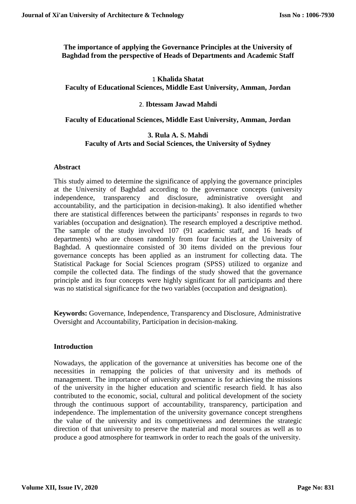# **The importance of applying the Governance Principles at the University of Baghdad from the perspective of Heads of Departments and Academic Staff**

# 1 **Khalida Shatat Faculty of Educational Sciences, Middle East University, Amman, Jordan**

# 2. **Ibtessam Jawad Mahdi**

## **Faculty of Educational Sciences, Middle East University, Amman, Jordan**

### **3. Rula A. S. Mahdi Faculty of Arts and Social Sciences, the University of Sydney**

# **Abstract**

This study aimed to determine the significance of applying the governance principles at the University of Baghdad according to the governance concepts (university independence, transparency and disclosure, administrative oversight and accountability, and the participation in decision-making). It also identified whether there are statistical differences between the participants' responses in regards to two variables (occupation and designation). The research employed a descriptive method. The sample of the study involved 107 (91 academic staff, and 16 heads of departments) who are chosen randomly from four faculties at the University of Baghdad. A questionnaire consisted of 30 items divided on the previous four governance concepts has been applied as an instrument for collecting data. The Statistical Package for Social Sciences program (SPSS) utilized to organize and compile the collected data. The findings of the study showed that the governance principle and its four concepts were highly significant for all participants and there was no statistical significance for the two variables (occupation and designation).

**Keywords:** Governance, Independence, Transparency and Disclosure, Administrative Oversight and Accountability, Participation in decision-making.

## **Introduction**

Nowadays, the application of the governance at universities has become one of the necessities in remapping the policies of that university and its methods of management. The importance of university governance is for achieving the missions of the university in the higher education and scientific research field. It has also contributed to the economic, social, cultural and political development of the society through the continuous support of accountability, transparency, participation and independence. The implementation of the university governance concept strengthens the value of the university and its competitiveness and determines the strategic direction of that university to preserve the material and moral sources as well as to produce a good atmosphere for teamwork in order to reach the goals of the university.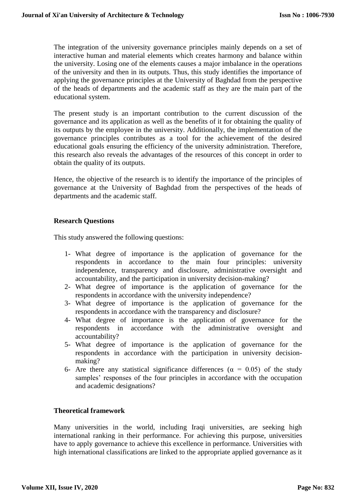The integration of the university governance principles mainly depends on a set of interactive human and material elements which creates harmony and balance within the university. Losing one of the elements causes a major imbalance in the operations of the university and then in its outputs. Thus, this study identifies the importance of applying the governance principles at the University of Baghdad from the perspective of the heads of departments and the academic staff as they are the main part of the educational system.

The present study is an important contribution to the current discussion of the governance and its application as well as the benefits of it for obtaining the quality of its outputs by the employee in the university. Additionally, the implementation of the governance principles contributes as a tool for the achievement of the desired educational goals ensuring the efficiency of the university administration. Therefore, this research also reveals the advantages of the resources of this concept in order to obtain the quality of its outputs.

Hence, the objective of the research is to identify the importance of the principles of governance at the University of Baghdad from the perspectives of the heads of departments and the academic staff.

# **Research Questions**

This study answered the following questions:

- 1- What degree of importance is the application of governance for the respondents in accordance to the main four principles: university independence, transparency and disclosure, administrative oversight and accountability, and the participation in university decision-making?
- 2- What degree of importance is the application of governance for the respondents in accordance with the university independence?
- 3- What degree of importance is the application of governance for the respondents in accordance with the transparency and disclosure?
- 4- What degree of importance is the application of governance for the respondents in accordance with the administrative oversight and accountability?
- 5- What degree of importance is the application of governance for the respondents in accordance with the participation in university decisionmaking?
- 6- Are there any statistical significance differences ( $\alpha = 0.05$ ) of the study samples' responses of the four principles in accordance with the occupation and academic designations?

# **Theoretical framework**

Many universities in the world, including Iraqi universities, are seeking high international ranking in their performance. For achieving this purpose, universities have to apply governance to achieve this excellence in performance. Universities with high international classifications are linked to the appropriate applied governance as it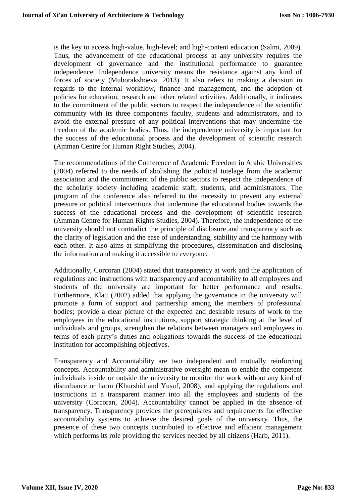is the key to access high-value, high-level; and high-content education (Salmi, 2009). Thus, the advancement of the educational process at any university requires the development of governance and the institutional performance to guarantee independence. Independence university means the resistance against any kind of forces of society (Muborakshoeva, 2013). It also refers to making a decision in regards to the internal workflow, finance and management, and the adoption of policies for education, research and other related activities. Additionally, it indicates to the commitment of the public sectors to respect the independence of the scientific community with its three components faculty, students and administrators, and to avoid the external pressure of any political interventions that may undermine the freedom of the academic bodies. Thus, the independence university is important for the success of the educational process and the development of scientific research (Amman Centre for Human Right Studies, 2004).

The recommendations of the Conference of Academic Freedom in Arabic Universities (2004) referred to the needs of abolishing the political tutelage from the academic association and the commitment of the public sectors to respect the independence of the scholarly society including academic staff, students, and administrators. The program of the conference also referred to the necessity to prevent any external pressure or political interventions that undermine the educational bodies towards the success of the educational process and the development of scientific research (Amman Centre for Human Rights Studies, 2004). Therefore, the independence of the university should not contradict the principle of disclosure and transparency such as the clarity of legislation and the ease of understanding, stability and the harmony with each other. It also aims at simplifying the procedures, dissemination and disclosing the information and making it accessible to everyone.

Additionally, Corcoran (2004) stated that transparency at work and the application of regulations and instructions with transparency and accountability to all employees and students of the university are important for better performance and results. Furthermore, Klatt (2002) added that applying the governance in the university will promote a form of support and partnership among the members of professional bodies; provide a clear picture of the expected and desirable results of work to the employees in the educational institutions, support strategic thinking at the level of individuals and groups, strengthen the relations between managers and employees in terms of each party's duties and obligations towards the success of the educational institution for accomplishing objectives.

Transparency and Accountability are two independent and mutually reinforcing concepts. Accountability and administrative oversight mean to enable the competent individuals inside or outside the university to monitor the work without any kind of disturbance or harm (Khurshid and Yusuf, 2008), and applying the regulations and instructions in a transparent manner into all the employees and students of the university (Corcoran, 2004). Accountability cannot be applied in the absence of transparency. Transparency provides the prerequisites and requirements for effective accountability systems to achieve the desired goals of the university. Thus, the presence of these two concepts contributed to effective and efficient management which performs its role providing the services needed by all citizens (Harb, 2011).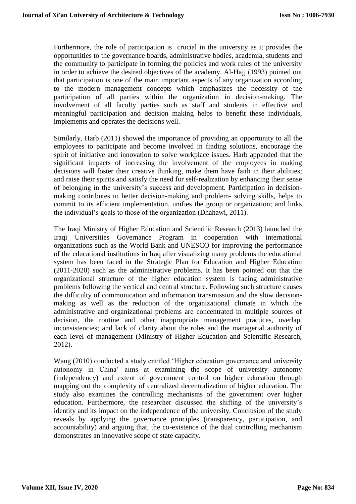Furthermore, the role of participation is crucial in the university as it provides the opportunities to the governance boards, administrative bodies, academia, students and the community to participate in forming the policies and work rules of the university in order to achieve the desired objectives of the academy. Al-Hajj (1993) pointed out that participation is one of the main important aspects of any organization according to the modern management concepts which emphasizes the necessity of the participation of all parties within the organization in decision-making. The involvement of all faculty parties such as staff and students in effective and meaningful participation and decision making helps to benefit these individuals, implements and operates the decisions well.

Similarly, Harb (2011) showed the importance of providing an opportunity to all the employees to participate and become involved in finding solutions, encourage the spirit of initiative and innovation to solve workplace issues. Harb appended that the significant impacts of increasing the involvement of the employees in making decisions will foster their creative thinking, make them have faith in their abilities; and raise their spirits and satisfy the need for self-realization by enhancing their sense of belonging in the university's success and development. Participation in decisionmaking contributes to better decision-making and problem- solving skills, helps to commit to its efficient implementation, unifies the group or organization; and links the individual's goals to those of the organization (Dhahawi, 2011).

The Iraqi Ministry of Higher Education and Scientific Research (2013) launched the Iraqi Universities Governance Program in cooperation with international organizations such as the World Bank and UNESCO for improving the performance of the educational institutions in Iraq after visualizing many problems the educational system has been faced in the Strategic Plan for Education and Higher Education (2011-2020) such as the administrative problems. It has been pointed out that the organizational structure of the higher education system is facing administrative problems following the vertical and central structure. Following such structure causes the difficulty of communication and information transmission and the slow decisionmaking as well as the reduction of the organizational climate in which the administrative and organizational problems are concentrated in multiple sources of decision, the routine and other inappropriate management practices, overlap, inconsistencies; and lack of clarity about the roles and the managerial authority of each level of management (Ministry of Higher Education and Scientific Research, 2012).

Wang (2010) conducted a study entitled 'Higher education governance and university autonomy in China' aims at examining the scope of university autonomy (independency) and extent of government control on higher education through mapping out the complexity of centralized decentralization of higher education. The study also examines the controlling mechanisms of the government over higher education. Furthermore, the researcher discussed the shifting of the university's identity and its impact on the independence of the university. Conclusion of the study reveals by applying the governance principles (transparency, participation, and accountability) and arguing that, the co-existence of the dual controlling mechanism demonstrates an innovative scope of state capacity.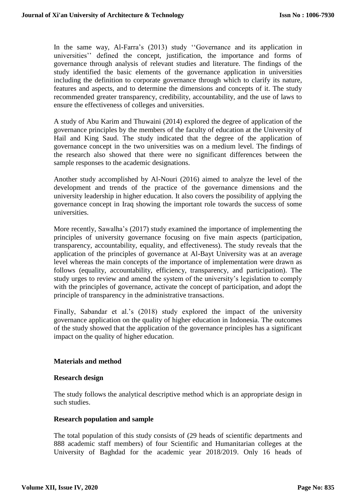In the same way, Al-Farra's (2013) study ''Governance and its application in universities'' defined the concept, justification, the importance and forms of governance through analysis of relevant studies and literature. The findings of the study identified the basic elements of the governance application in universities including the definition to corporate governance through which to clarify its nature, features and aspects, and to determine the dimensions and concepts of it. The study recommended greater transparency, credibility, accountability, and the use of laws to ensure the effectiveness of colleges and universities.

A study of Abu Karim and Thuwaini (2014) explored the degree of application of the governance principles by the members of the faculty of education at the University of Hail and King Saud. The study indicated that the degree of the application of governance concept in the two universities was on a medium level. The findings of the research also showed that there were no significant differences between the sample responses to the academic designations.

Another study accomplished by Al-Nouri (2016) aimed to analyze the level of the development and trends of the practice of the governance dimensions and the university leadership in higher education. It also covers the possibility of applying the governance concept in Iraq showing the important role towards the success of some universities.

More recently, Sawalha's (2017) study examined the importance of implementing the principles of university governance focusing on five main aspects (participation, transparency, accountability, equality, and effectiveness). The study reveals that the application of the principles of governance at Al-Bayt University was at an average level whereas the main concepts of the importance of implementation were drawn as follows (equality, accountability, efficiency, transparency, and participation). The study urges to review and amend the system of the university's legislation to comply with the principles of governance, activate the concept of participation, and adopt the principle of transparency in the administrative transactions.

Finally, Sabandar et al.'s (2018) study explored the impact of the university governance application on the quality of higher education in Indonesia. The outcomes of the study showed that the application of the governance principles has a significant impact on the quality of higher education.

## **Materials and method**

## **Research design**

The study follows the analytical descriptive method which is an appropriate design in such studies.

## **Research population and sample**

The total population of this study consists of (29 heads of scientific departments and 888 academic staff members) of four Scientific and Humanitarian colleges at the University of Baghdad for the academic year 2018/2019. Only 16 heads of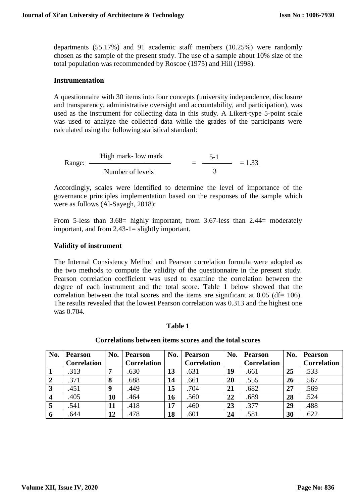departments (55.17%) and 91 academic staff members (10.25%) were randomly chosen as the sample of the present study. The use of a sample about 10% size of the total population was recommended by Roscoe (1975) and Hill (1998).

### **Instrumentation**

A questionnaire with 30 items into four concepts (university independence, disclosure and transparency, administrative oversight and accountability, and participation), was used as the instrument for collecting data in this study. A Likert-type 5-point scale was used to analyze the collected data while the grades of the participants were calculated using the following statistical standard:

Range: 
$$
\frac{\text{High mark - low mark}}{\text{Number of levels}} = \frac{5-1}{3} = 1.33
$$

Accordingly, scales were identified to determine the level of importance of the governance principles implementation based on the responses of the sample which were as follows (Al-Sayegh, 2018):

From 5-less than 3.68 highly important, from 3.67-less than 2.44 moderately important, and from 2.43-1= slightly important.

#### **Validity of instrument**

The Internal Consistency Method and Pearson correlation formula were adopted as the two methods to compute the validity of the questionnaire in the present study. Pearson correlation coefficient was used to examine the correlation between the degree of each instrument and the total score. Table 1 below showed that the correlation between the total scores and the items are significant at  $0.05$  (df= 106). The results revealed that the lowest Pearson correlation was 0.313 and the highest one was 0.704.

#### **Table 1**

#### **Correlations between items scores and the total scores**

| No. | <b>Pearson</b>     | No. | <b>Pearson</b>     | No. | <b>Pearson</b>     | No. | <b>Pearson</b>     | No. | <b>Pearson</b>     |
|-----|--------------------|-----|--------------------|-----|--------------------|-----|--------------------|-----|--------------------|
|     | <b>Correlation</b> |     | <b>Correlation</b> |     | <b>Correlation</b> |     | <b>Correlation</b> |     | <b>Correlation</b> |
|     | .313               | ៗ   | .630               | 13  | .631               | 19  | .661               | 25  | .533               |
|     | .371               | 8   | .688               | 14  | .661               | 20  | .555               | 26  | .567               |
| 3   | .451               | 9   | .449               | 15  | .704               | 21  | .682               | 27  | .569               |
|     | .405               | 10  | .464               | 16  | .560               | 22  | .689               | 28  | .524               |
| 5   | .541               | 11  | .418               | 17  | .460               | 23  | .377               | 29  | .488               |
| 6   | .644               | 12  | 478                | 18  | .601               | 24  | .581               | 30  | .622               |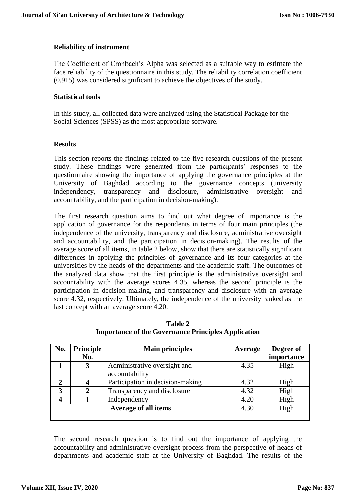## **Reliability of instrument**

The Coefficient of Cronbach's Alpha was selected as a suitable way to estimate the face reliability of the questionnaire in this study. The reliability correlation coefficient (0.915) was considered significant to achieve the objectives of the study.

#### **Statistical tools**

In this study, all collected data were analyzed using the Statistical Package for the Social Sciences (SPSS) as the most appropriate software.

## **Results**

This section reports the findings related to the five research questions of the present study. These findings were generated from the participants' responses to the questionnaire showing the importance of applying the governance principles at the University of Baghdad according to the governance concepts (university independency, transparency and disclosure, administrative oversight and accountability, and the participation in decision-making).

The first research question aims to find out what degree of importance is the application of governance for the respondents in terms of four main principles (the independence of the university, transparency and disclosure, administrative oversight and accountability, and the participation in decision-making). The results of the average score of all items, in table 2 below, show that there are statistically significant differences in applying the principles of governance and its four categories at the universities by the heads of the departments and the academic staff. The outcomes of the analyzed data show that the first principle is the administrative oversight and accountability with the average scores 4.35, whereas the second principle is the participation in decision-making, and transparency and disclosure with an average score 4.32, respectively. Ultimately, the independence of the university ranked as the last concept with an average score 4.20.

| No.            | <b>Principle</b> | <b>Main principles</b>           | Average | Degree of  |
|----------------|------------------|----------------------------------|---------|------------|
|                | No.              |                                  |         | importance |
|                | 3                | Administrative oversight and     | 4.35    | High       |
|                |                  | accountability                   |         |            |
| $\overline{2}$ | 4                | Participation in decision-making | 4.32    | High       |
| 3              | 2                | Transparency and disclosure      | 4.32    | High       |
|                |                  | Independency                     | 4.20    | High       |
|                |                  | <b>Average of all items</b>      | 4.30    | High       |
|                |                  |                                  |         |            |

**Table 2 Importance of the Governance Principles Application**

The second research question is to find out the importance of applying the accountability and administrative oversight process from the perspective of heads of departments and academic staff at the University of Baghdad. The results of the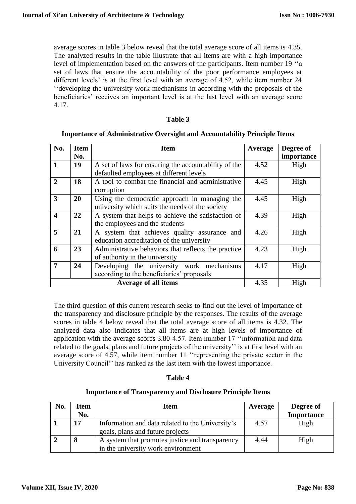average scores in table 3 below reveal that the total average score of all items is 4.35. The analyzed results in the table illustrate that all items are with a high importance level of implementation based on the answers of the participants. Item number 19 ''a set of laws that ensure the accountability of the poor performance employees at different levels' is at the first level with an average of 4.52, while item number 24 ''developing the university work mechanisms in according with the proposals of the beneficiaries' receives an important level is at the last level with an average score 4.17.

### **Table 3**

| No.              | <b>Item</b> | <b>Item</b>                                          | Average | Degree of  |
|------------------|-------------|------------------------------------------------------|---------|------------|
|                  | No.         |                                                      |         | importance |
| 1                | 19          | A set of laws for ensuring the accountability of the | 4.52    | High       |
|                  |             | defaulted employees at different levels              |         |            |
| $\mathbf{2}$     | 18          | A tool to combat the financial and administrative    | 4.45    | High       |
|                  |             | corruption                                           |         |            |
| 3                | 20          | Using the democratic approach in managing the        | 4.45    | High       |
|                  |             | university which suits the needs of the society      |         |            |
| $\boldsymbol{4}$ | 22          | A system that helps to achieve the satisfaction of   | 4.39    | High       |
|                  |             | the employees and the students                       |         |            |
| 5                | 21          | A system that achieves quality assurance and         | 4.26    | High       |
|                  |             | education accreditation of the university            |         |            |
| 6                | 23          | 4.23                                                 | High    |            |
|                  |             | of authority in the university                       |         |            |
| 7                | 24          | Developing the university work mechanisms            | 4.17    | High       |
|                  |             | according to the beneficiaries' proposals            |         |            |
|                  |             | Average of all items                                 | 4.35    | High       |

#### **Importance of Administrative Oversight and Accountability Principle Items**

The third question of this current research seeks to find out the level of importance of the transparency and disclosure principle by the responses. The results of the average scores in table 4 below reveal that the total average score of all items is 4.32. The analyzed data also indicates that all items are at high levels of importance of application with the average scores 3.80-4.57. Item number 17 ''information and data related to the goals, plans and future projects of the university'' is at first level with an average score of 4.57, while item number 11 ''representing the private sector in the University Council'' has ranked as the last item with the lowest importance.

#### **Table 4**

## **Importance of Transparency and Disclosure Principle Items**

| No. | Item | <b>Item</b>                                      | Average | Degree of         |
|-----|------|--------------------------------------------------|---------|-------------------|
|     | No.  |                                                  |         | <b>Importance</b> |
|     | 17   | Information and data related to the University's | 4.57    | High              |
|     |      | goals, plans and future projects                 |         |                   |
|     | 8    | A system that promotes justice and transparency  | 4.44    | High              |
|     |      | in the university work environment               |         |                   |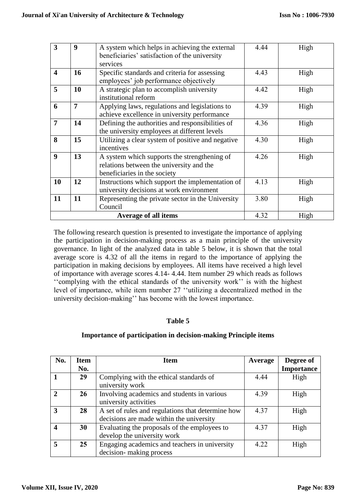| 3                       | 9              | A system which helps in achieving the external<br>beneficiaries' satisfaction of the university                          | 4.44 | High |
|-------------------------|----------------|--------------------------------------------------------------------------------------------------------------------------|------|------|
|                         |                | services                                                                                                                 |      |      |
| $\overline{\mathbf{4}}$ | 16             | Specific standards and criteria for assessing<br>employees' job performance objectively                                  | 4.43 | High |
| 5                       | 10             | A strategic plan to accomplish university<br>institutional reform                                                        | 4.42 | High |
| 6                       | $\overline{7}$ | Applying laws, regulations and legislations to<br>achieve excellence in university performance                           | 4.39 | High |
| $\overline{7}$          | 14             | Defining the authorities and responsibilities of<br>the university employees at different levels                         | 4.36 | High |
| 8                       | 15             | Utilizing a clear system of positive and negative<br>incentives                                                          | 4.30 | High |
| $\boldsymbol{9}$        | 13             | A system which supports the strengthening of<br>relations between the university and the<br>beneficiaries in the society | 4.26 | High |
| <b>10</b>               | 12             | Instructions which support the implementation of<br>university decisions at work environment                             | 4.13 | High |
| 11                      | 11             | Representing the private sector in the University<br>Council                                                             | 3.80 | High |
|                         |                | <b>Average of all items</b>                                                                                              | 4.32 | High |

The following research question is presented to investigate the importance of applying the participation in decision-making process as a main principle of the university governance. In light of the analyzed data in table 5 below, it is shown that the total average score is 4.32 of all the items in regard to the importance of applying the participation in making decisions by employees. All items have received a high level of importance with average scores 4.14- 4.44. Item number 29 which reads as follows ''complying with the ethical standards of the university work'' is with the highest level of importance, while item number 27 ''utilizing a decentralized method in the university decision-making'' has become with the lowest importance.

# **Table 5**

# **Importance of participation in decision-making Principle items**

| No. | <b>Item</b> | <b>Item</b>                                                                                   | Average | Degree of         |
|-----|-------------|-----------------------------------------------------------------------------------------------|---------|-------------------|
|     | No.         |                                                                                               |         | <b>Importance</b> |
|     | 29          | Complying with the ethical standards of<br>university work                                    | 4.44    | High              |
|     | 26          | Involving academics and students in various<br>university activities                          | 4.39    | High              |
| 3   | 28          | A set of rules and regulations that determine how<br>decisions are made within the university | 4.37    | High              |
|     | 30          | Evaluating the proposals of the employees to<br>develop the university work                   | 4.37    | High              |
|     | 25          | Engaging academics and teachers in university<br>decision-making process                      | 4.22    | High              |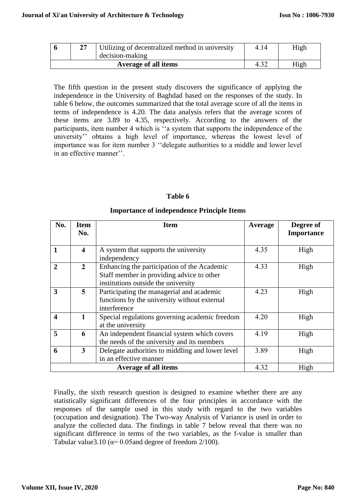| דר | Utilizing of decentralized method in university | 4.14 | High |
|----|-------------------------------------------------|------|------|
|    | decision-making                                 |      |      |
|    | Average of all items                            |      | High |

The fifth question in the present study discovers the significance of applying the independence in the University of Baghdad based on the responses of the study. In table 6 below, the outcomes summarized that the total average score of all the items in terms of independence is 4.20. The data analysis refers that the average scores of these items are 3.89 to 4.35, respectively. According to the answers of the participants, item number 4 which is ''a system that supports the independence of the university'' obtains a high level of importance, whereas the lowest level of importance was for item number 3 ''delegate authorities to a middle and lower level in an effective manner''.

#### **Table 6**

#### **Importance of independence Principle Items**

| No.                     | <b>Item</b><br>No.      | <b>Item</b>                                      |      | Degree of<br><b>Importance</b> |
|-------------------------|-------------------------|--------------------------------------------------|------|--------------------------------|
|                         |                         |                                                  |      |                                |
| $\mathbf{1}$            | $\overline{\mathbf{4}}$ | A system that supports the university            | 4.35 | High                           |
|                         |                         | independency                                     |      |                                |
| $\mathbf{2}$            | $\mathbf{2}$            | Enhancing the participation of the Academic      | 4.33 | High                           |
|                         |                         | Staff member in providing advice to other        |      |                                |
|                         |                         | institutions outside the university              |      |                                |
| 3                       | $\overline{5}$          | Participating the managerial and academic        | 4.23 | High                           |
|                         |                         | functions by the university without external     |      |                                |
|                         |                         | interference                                     |      |                                |
| $\overline{\mathbf{4}}$ |                         | Special regulations governing academic freedom   | 4.20 | High                           |
|                         |                         | at the university                                |      |                                |
| 5                       | 6                       | An independent financial system which covers     | 4.19 | High                           |
|                         |                         | the needs of the university and its members      |      |                                |
| 6                       | 3                       | Delegate authorities to middling and lower level | 3.89 | High                           |
|                         |                         | in an effective manner                           |      |                                |
|                         |                         | <b>Average of all items</b>                      | 4.32 | High                           |

Finally, the sixth research question is designed to examine whether there are any statistically significant differences of the four principles in accordance with the responses of the sample used in this study with regard to the two variables (occupation and designation). The Two-way Analysis of Variance is used in order to analyze the collected data. The findings in table 7 below reveal that there was no significant difference in terms of the two variables, as the f-value is smaller than Tabular value3.10 ( $\alpha$ = 0.05and degree of freedom 2/100).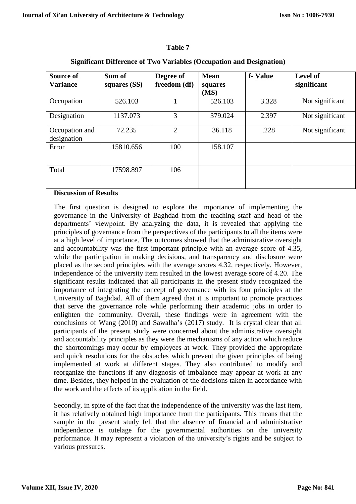## **Table 7**

| Source of<br><b>Variance</b>  | Sum of<br>squares (SS) | Degree of<br>freedom (df) | <b>Mean</b><br>squares<br>(MS) | f-Value | <b>Level of</b><br>significant |
|-------------------------------|------------------------|---------------------------|--------------------------------|---------|--------------------------------|
| Occupation                    | 526.103                |                           | 526.103                        | 3.328   | Not significant                |
| Designation                   | 1137.073               | 3                         | 379.024                        | 2.397   | Not significant                |
| Occupation and<br>designation | 72.235                 | $\overline{2}$            | 36.118                         | .228    | Not significant                |
| Error                         | 15810.656              | 100                       | 158.107                        |         |                                |
| Total                         | 17598.897              | 106                       |                                |         |                                |

## **Significant Difference of Two Variables (Occupation and Designation)**

# **Discussion of Results**

The first question is designed to explore the importance of implementing the governance in the University of Baghdad from the teaching staff and head of the departments' viewpoint. By analyzing the data, it is revealed that applying the principles of governance from the perspectives of the participants to all the items were at a high level of importance. The outcomes showed that the administrative oversight and accountability was the first important principle with an average score of 4.35, while the participation in making decisions, and transparency and disclosure were placed as the second principles with the average scores 4.32, respectively. However, independence of the university item resulted in the lowest average score of 4.20. The significant results indicated that all participants in the present study recognized the importance of integrating the concept of governance with its four principles at the University of Baghdad. All of them agreed that it is important to promote practices that serve the governance role while performing their academic jobs in order to enlighten the community. Overall, these findings were in agreement with the conclusions of Wang (2010) and Sawalha's (2017) study. It is crystal clear that all participants of the present study were concerned about the administrative oversight and accountability principles as they were the mechanisms of any action which reduce the shortcomings may occur by employees at work. They provided the appropriate and quick resolutions for the obstacles which prevent the given principles of being implemented at work at different stages. They also contributed to modify and reorganize the functions if any diagnosis of imbalance may appear at work at any time. Besides, they helped in the evaluation of the decisions taken in accordance with the work and the effects of its application in the field.

Secondly, in spite of the fact that the independence of the university was the last item, it has relatively obtained high importance from the participants. This means that the sample in the present study felt that the absence of financial and administrative independence is tutelage for the governmental authorities on the university performance. It may represent a violation of the university's rights and be subject to various pressures.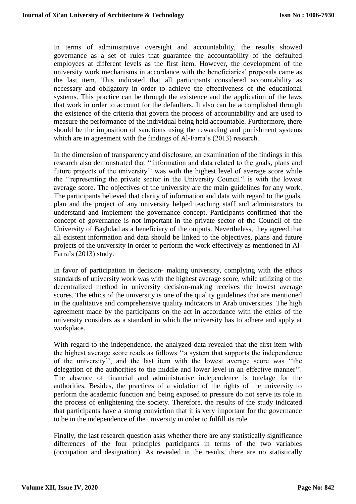In terms of administrative oversight and accountability, the results showed governance as a set of rules that guarantee the accountability of the defaulted employees at different levels as the first item. However, the development of the university work mechanisms in accordance with the beneficiaries' proposals came as the last item. This indicated that all participants considered accountability as necessary and obligatory in order to achieve the effectiveness of the educational systems. This practice can be through the existence and the application of the laws that work in order to account for the defaulters. It also can be accomplished through the existence of the criteria that govern the process of accountability and are used to measure the performance of the individual being held accountable. Furthermore, there should be the imposition of sanctions using the rewarding and punishment systems which are in agreement with the findings of Al-Farra's (2013) research.

In the dimension of transparency and disclosure, an examination of the findings in this research also demonstrated that ''information and data related to the goals, plans and future projects of the university'' was with the highest level of average score while the ''representing the private sector in the University Council'' is with the lowest average score. The objectives of the university are the main guidelines for any work. The participants believed that clarity of information and data with regard to the goals, plan and the project of any university helped teaching staff and administrators to understand and implement the governance concept. Participants confirmed that the concept of governance is not important in the private sector of the Council of the University of Baghdad as a beneficiary of the outputs. Nevertheless, they agreed that all existent information and data should be linked to the objectives, plans and future projects of the university in order to perform the work effectively as mentioned in Al-Farra's (2013) study.

In favor of participation in decision- making university, complying with the ethics standards of university work was with the highest average score, while utilizing of the decentralized method in university decision-making receives the lowest average scores. The ethics of the university is one of the quality guidelines that are mentioned in the qualitative and comprehensive quality indicators in Arab universities. The high agreement made by the participants on the act in accordance with the ethics of the university considers as a standard in which the university has to adhere and apply at workplace.

With regard to the independence, the analyzed data revealed that the first item with the highest average score reads as follows ''a system that supports the independence of the university'', and the last item with the lowest average score was ''the delegation of the authorities to the middle and lower level in an effective manner''. The absence of financial and administrative independence is tutelage for the authorities. Besides, the practices of a violation of the rights of the university to perform the academic function and being exposed to pressure do not serve its role in the process of enlightening the society. Therefore, the results of the study indicated that participants have a strong conviction that it is very important for the governance to be in the independence of the university in order to fulfill its role.

Finally, the last research question asks whether there are any statistically significance differences of the four principles participants in terms of the two variables (occupation and designation). As revealed in the results, there are no statistically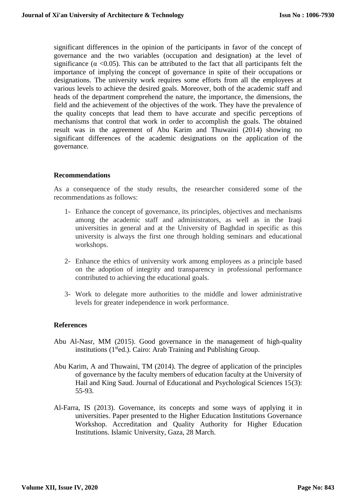significant differences in the opinion of the participants in favor of the concept of governance and the two variables (occupation and designation) at the level of significance ( $\alpha$  <0.05). This can be attributed to the fact that all participants felt the importance of implying the concept of governance in spite of their occupations or designations. The university work requires some efforts from all the employees at various levels to achieve the desired goals. Moreover, both of the academic staff and heads of the department comprehend the nature, the importance, the dimensions, the field and the achievement of the objectives of the work. They have the prevalence of the quality concepts that lead them to have accurate and specific perceptions of mechanisms that control that work in order to accomplish the goals. The obtained result was in the agreement of Abu Karim and Thuwaini (2014) showing no significant differences of the academic designations on the application of the governance.

#### **Recommendations**

As a consequence of the study results, the researcher considered some of the recommendations as follows:

- 1- Enhance the concept of governance, its principles, objectives and mechanisms among the academic staff and administrators, as well as in the Iraqi universities in general and at the University of Baghdad in specific as this university is always the first one through holding seminars and educational workshops.
- 2- Enhance the ethics of university work among employees as a principle based on the adoption of integrity and transparency in professional performance contributed to achieving the educational goals.
- 3- Work to delegate more authorities to the middle and lower administrative levels for greater independence in work performance.

#### **References**

- Abu Al-Nasr, MM (2015). Good governance in the management of high-quality institutions (1<sup>st</sup>ed.). Cairo: Arab Training and Publishing Group.
- Abu Karim, A and Thuwaini, TM (2014). The degree of application of the principles of governance by the faculty members of education faculty at the University of Hail and King Saud. Journal of Educational and Psychological Sciences 15(3): 55-93.
- Al-Farra, IS (2013). Governance, its concepts and some ways of applying it in universities. Paper presented to the Higher Education Institutions Governance Workshop. Accreditation and Quality Authority for Higher Education Institutions. Islamic University, Gaza, 28 March.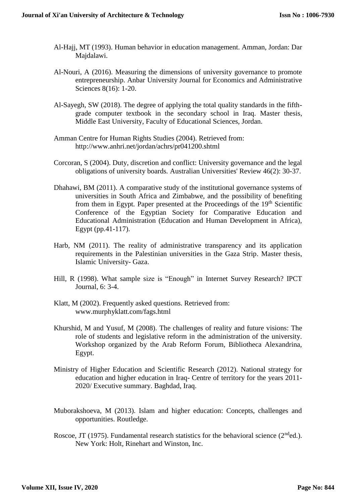- Al-Hajj, MT (1993). Human behavior in education management. Amman, Jordan: Dar Majdalawi.
- Al-Nouri, A (2016). Measuring the dimensions of university governance to promote entrepreneurship. Anbar University Journal for Economics and Administrative Sciences 8(16): 1-20.
- Al-Sayegh, SW (2018). The degree of applying the total quality standards in the fifthgrade computer textbook in the secondary school in Iraq. Master thesis, Middle East University, Faculty of Educational Sciences, Jordan.
- Amman Centre for Human Rights Studies (2004). Retrieved from: <http://www.anhri.net/jordan/achrs/pr041200.shtml>
- Corcoran, S (2004). Duty, discretion and conflict: University governance and the legal obligations of university boards*.* Australian Universities' Review 46(2): 30-37.
- Dhahawi, BM (2011). A comparative study of the institutional governance systems of universities in South Africa and Zimbabwe, and the possibility of benefiting from them in Egypt. Paper presented at the Proceedings of the 19<sup>th</sup> Scientific Conference of the Egyptian Society for Comparative Education and Educational Administration (Education and Human Development in Africa), Egypt (pp.41-117).
- Harb, NM (2011). The reality of administrative transparency and its application requirements in the Palestinian universities in the Gaza Strip. Master thesis, Islamic University- Gaza.
- Hill, R (1998). What sample size is "Enough" in Internet Survey Research? IPCT Journal, 6: 3-4.
- Klatt, M (2002). Frequently asked questions. Retrieved from: [www.murphyklatt.com/fags.html](http://www.murphyklatt.com/fags.html)
- Khurshid, M and Yusuf, M (2008). The challenges of reality and future visions: The role of students and legislative reform in the administration of the university. Workshop organized by the Arab Reform Forum, Bibliotheca Alexandrina, Egypt.
- Ministry of Higher Education and Scientific Research (2012). National strategy for education and higher education in Iraq- Centre of territory for the years 2011- 2020/ Executive summary. Baghdad, Iraq.
- Muborakshoeva, M (2013). Islam and higher education: Concepts, challenges and opportunities. Routledge.
- Roscoe, JT (1975). Fundamental research statistics for the behavioral science ( $2<sup>nd</sup>$ ed.). New York: Holt, Rinehart and Winston, Inc.